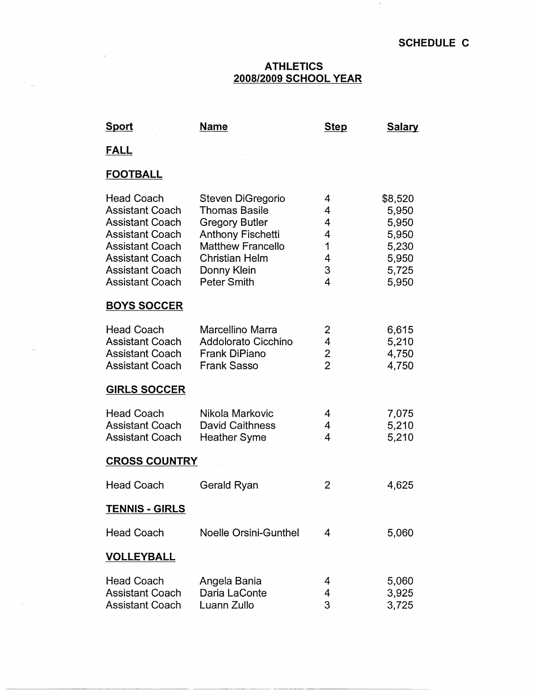$\mathcal{A}$ 

## **ATHLETICS 2008/2009 SCHOOL YEAR**

| <b>Sport</b>                                                                                                                                                                                            | Name                                                                                                                                                                                     | <b>Step</b>                                                       | <b>Salary</b>                                                          |  |
|---------------------------------------------------------------------------------------------------------------------------------------------------------------------------------------------------------|------------------------------------------------------------------------------------------------------------------------------------------------------------------------------------------|-------------------------------------------------------------------|------------------------------------------------------------------------|--|
| <u>FALL</u>                                                                                                                                                                                             |                                                                                                                                                                                          |                                                                   |                                                                        |  |
| <b>FOOTBALL</b>                                                                                                                                                                                         |                                                                                                                                                                                          |                                                                   |                                                                        |  |
| <b>Head Coach</b><br><b>Assistant Coach</b><br><b>Assistant Coach</b><br><b>Assistant Coach</b><br><b>Assistant Coach</b><br><b>Assistant Coach</b><br><b>Assistant Coach</b><br><b>Assistant Coach</b> | Steven DiGregorio<br><b>Thomas Basile</b><br><b>Gregory Butler</b><br><b>Anthony Fischetti</b><br><b>Matthew Francello</b><br><b>Christian Helm</b><br>Donny Klein<br><b>Peter Smith</b> | 4<br>4<br>$\overline{4}$<br>4<br>1<br>4<br>3<br>4                 | \$8,520<br>5,950<br>5,950<br>5,950<br>5,230<br>5,950<br>5,725<br>5,950 |  |
| <b>BOYS SOCCER</b>                                                                                                                                                                                      |                                                                                                                                                                                          |                                                                   |                                                                        |  |
| <b>Head Coach</b><br><b>Assistant Coach</b><br><b>Assistant Coach</b><br><b>Assistant Coach</b>                                                                                                         | Marcellino Marra<br>Addolorato Cicchino<br>Frank DiPiano<br><b>Frank Sasso</b>                                                                                                           | 2<br>$\overline{\mathcal{L}}$<br>$\overline{2}$<br>$\overline{2}$ | 6,615<br>5,210<br>4,750<br>4,750                                       |  |
| <b>GIRLS SOCCER</b>                                                                                                                                                                                     |                                                                                                                                                                                          |                                                                   |                                                                        |  |
| <b>Head Coach</b><br><b>Assistant Coach</b><br><b>Assistant Coach</b>                                                                                                                                   | Nikola Markovic<br><b>David Caithness</b><br><b>Heather Syme</b>                                                                                                                         | 4<br>4<br>4                                                       | 7,075<br>5,210<br>5,210                                                |  |
| <b>CROSS COUNTRY</b>                                                                                                                                                                                    |                                                                                                                                                                                          |                                                                   |                                                                        |  |
| <b>Head Coach</b>                                                                                                                                                                                       | Gerald Ryan                                                                                                                                                                              | 2                                                                 | 4,625                                                                  |  |
| <b>TENNIS - GIRLS</b>                                                                                                                                                                                   |                                                                                                                                                                                          |                                                                   |                                                                        |  |
| <b>Head Coach</b>                                                                                                                                                                                       | <b>Noelle Orsini-Gunthel</b>                                                                                                                                                             | 4                                                                 | 5,060                                                                  |  |
| <b>VOLLEYBALL</b>                                                                                                                                                                                       |                                                                                                                                                                                          |                                                                   |                                                                        |  |
| <b>Head Coach</b><br><b>Assistant Coach</b><br><b>Assistant Coach</b>                                                                                                                                   | Angela Bania<br>Daria LaConte<br>Luann Zullo                                                                                                                                             | 4<br>$\overline{4}$<br>3                                          | 5,060<br>3,925<br>3,725                                                |  |